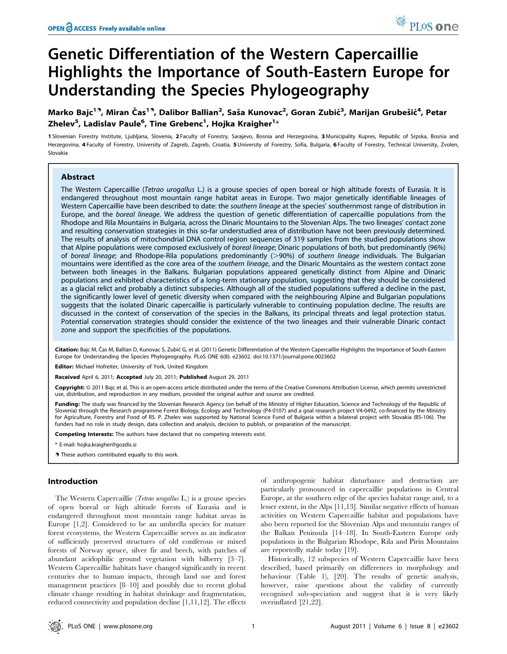# Genetic Differentiation of the Western Capercaillie Highlights the Importance of South-Eastern Europe for Understanding the Species Phylogeography

Marko Bajc<sup>19</sup>, Miran Čas<sup>19</sup>, Dalibor Ballian<sup>2</sup>, Saša Kunovac<sup>2</sup>, Goran Zubić<sup>3</sup>, Marijan Grubešić<sup>4</sup>, Petar Zhelev<sup>5</sup>, Ladislav Paule<sup>6</sup>, Tine Grebenc<sup>1</sup>, Hojka Kraigher<sup>1</sup>\*

1 Slovenian Forestry Institute, Ljubljana, Slovenia, 2 Faculty of Forestry, Sarajevo, Bosnia and Herzegovina, 3 Municipality Kupres, Republic of Srpska, Bosnia and Herzegovina, 4 Faculty of Forestry, University of Zagreb, Zagreb, Croatia, 5 University of Forestry, Sofia, Bulgaria, 6 Faculty of Forestry, Technical University, Zvolen, Slovakia

## Abstract

The Western Capercaillie (Tetrao urogallus L.) is a grouse species of open boreal or high altitude forests of Eurasia. It is endangered throughout most mountain range habitat areas in Europe. Two major genetically identifiable lineages of Western Capercaillie have been described to date: the southern lineage at the species' southernmost range of distribution in Europe, and the boreal lineage. We address the question of genetic differentiation of capercaillie populations from the Rhodope and Rila Mountains in Bulgaria, across the Dinaric Mountains to the Slovenian Alps. The two lineages' contact zone and resulting conservation strategies in this so-far understudied area of distribution have not been previously determined. The results of analysis of mitochondrial DNA control region sequences of 319 samples from the studied populations show that Alpine populations were composed exclusively of boreal lineage; Dinaric populations of both, but predominantly (96%) of boreal lineage; and Rhodope-Rila populations predominantly (>90%) of southern lineage individuals. The Bulgarian mountains were identified as the core area of the southern lineage, and the Dinaric Mountains as the western contact zone between both lineages in the Balkans. Bulgarian populations appeared genetically distinct from Alpine and Dinaric populations and exhibited characteristics of a long-term stationary population, suggesting that they should be considered as a glacial relict and probably a distinct subspecies. Although all of the studied populations suffered a decline in the past, the significantly lower level of genetic diversity when compared with the neighbouring Alpine and Bulgarian populations suggests that the isolated Dinaric capercaillie is particularly vulnerable to continuing population decline. The results are discussed in the context of conservation of the species in the Balkans, its principal threats and legal protection status. Potential conservation strategies should consider the existence of the two lineages and their vulnerable Dinaric contact zone and support the specificities of the populations.

Citation: Bajc M, Čas M, Ballian D, Kunovac S, Zubić G, et al. (2011) Genetic Differentiation of the Western Capercaillie Highlights the Importance of South-Eastern Europe for Understanding the Species Phylogeography. PLoS ONE 6(8): e23602. doi:10.1371/journal.pone.0023602

Editor: Michael Hofreiter, University of York, United Kingdom

Received April 6, 2011; Accepted July 20, 2011; Published August 29, 2011

Copyright: © 2011 Bajc et al. This is an open-access article distributed under the terms of the Creative Commons Attribution License, which permits unrestricted use, distribution, and reproduction in any medium, provided the original author and source are credited.

Funding: The study was financed by the Slovenian Research Agency (on behalf of the Ministry of Higher Education, Science and Technology of the Republic of Slovenia) through the Research programme Forest Biology, Ecology and Technology (P4-0107) and a goal research project V4-0492, co-financed by the Ministry for Agriculture, Forestry and Food of RS. P. Zhelev was supported by National Science Fund of Bulgaria within a bilateral project with Slovakia (BS-106). The funders had no role in study design, data collection and analysis, decision to publish, or preparation of the manuscript.

Competing Interests: The authors have declared that no competing interests exist.

\* E-mail: hojka.kraigher@gozdis.si

. These authors contributed equally to this work.

# Introduction

The Western Capercaillie (Tetrao urogallus L.) is a grouse species of open boreal or high altitude forests of Eurasia and is endangered throughout most mountain range habitat areas in Europe [1,2]. Considered to be an umbrella species for mature forest ecosystems, the Western Capercaillie serves as an indicator of sufficiently preserved structures of old coniferous or mixed forests of Norway spruce, silver fir and beech, with patches of abundant acidophilic ground vegetation with bilberry [3–7]. Western Capercaillie habitats have changed significantly in recent centuries due to human impacts, through land use and forest management practices [8–10] and possibly due to recent global climate change resulting in habitat shrinkage and fragmentation, reduced connectivity and population decline [1,11,12]. The effects

of anthropogenic habitat disturbance and destruction are particularly pronounced in capercaillie populations in Central Europe, at the southern edge of the species habitat range and, to a lesser extent, in the Alps [11,13]. Similar negative effects of human activities on Western Capercaillie habitat and populations have also been reported for the Slovenian Alps and mountain ranges of the Balkan Peninsula [14–18]. In South-Eastern Europe only populations in the Bulgarian Rhodope, Rila and Pirin Mountains are reportedly stable today [19].

Historically, 12 subspecies of Western Capercaillie have been described, based primarily on differences in morphology and behaviour (Table 1), [20]. The results of genetic analysis, however, raise questions about the validity of currently recognised sub-speciation and suggest that it is very likely overinflated [21,22].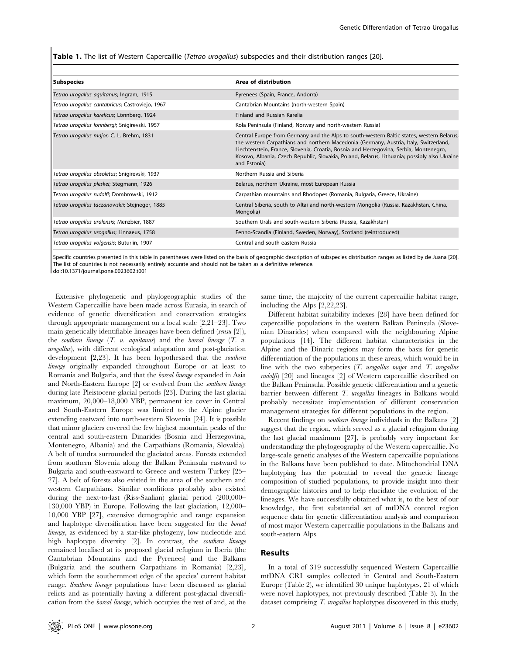Table 1. The list of Western Capercaillie (Tetrao urogallus) subspecies and their distribution ranges [20].

| Area of distribution                                                                                                                                                                                                                                                                                                                                                                        |
|---------------------------------------------------------------------------------------------------------------------------------------------------------------------------------------------------------------------------------------------------------------------------------------------------------------------------------------------------------------------------------------------|
| Pyrenees (Spain, France, Andorra)                                                                                                                                                                                                                                                                                                                                                           |
| Cantabrian Mountains (north-western Spain)                                                                                                                                                                                                                                                                                                                                                  |
| Finland and Russian Karelia                                                                                                                                                                                                                                                                                                                                                                 |
| Kola Peninsula (Finland, Norway and north-western Russia)                                                                                                                                                                                                                                                                                                                                   |
| Central Europe from Germany and the Alps to south-western Baltic states, western Belarus,<br>the western Carpathians and northern Macedonia (Germany, Austria, Italy, Switzerland,<br>Liechtenstein, France, Slovenia, Croatia, Bosnia and Herzegovina, Serbia, Montenegro,<br>Kosovo, Albania, Czech Republic, Slovakia, Poland, Belarus, Lithuania; possibly also Ukraine<br>and Estonia) |
| Northern Russia and Siberia                                                                                                                                                                                                                                                                                                                                                                 |
| Belarus, northern Ukraine, most European Russia                                                                                                                                                                                                                                                                                                                                             |
| Carpathian mountains and Rhodopes (Romania, Bulgaria, Greece, Ukraine)                                                                                                                                                                                                                                                                                                                      |
| Central Siberia, south to Altai and north-western Mongolia (Russia, Kazakhstan, China,<br>Mongolia)                                                                                                                                                                                                                                                                                         |
| Southern Urals and south-western Siberia (Russia, Kazakhstan)                                                                                                                                                                                                                                                                                                                               |
| Fenno-Scandia (Finland, Sweden, Norway), Scotland (reintroduced)                                                                                                                                                                                                                                                                                                                            |
| Central and south-eastern Russia                                                                                                                                                                                                                                                                                                                                                            |
|                                                                                                                                                                                                                                                                                                                                                                                             |

Specific countries presented in this table in parentheses were listed on the basis of geographic description of subspecies distribution ranges as listed by de Juana [20]. The list of countries is not necessarily entirely accurate and should not be taken as a definitive reference. doi:10.1371/journal.pone.0023602.t001

Extensive phylogenetic and phylogeographic studies of the Western Capercaillie have been made across Eurasia, in search of evidence of genetic diversification and conservation strategies through appropriate management on a local scale [2,21–23]. Two main genetically identifiable lineages have been defined (sensu [2]), the southern lineage  $(T. u.$  aquitanus) and the boreal lineage  $(T. u.$ urogallus), with different ecological adaptation and post-glaciation development [2,23]. It has been hypothesised that the southern lineage originally expanded throughout Europe or at least to Romania and Bulgaria, and that the boreal lineage expanded in Asia and North-Eastern Europe [2] or evolved from the southern lineage during late Pleistocene glacial periods [23]. During the last glacial maximum, 20,000–18,000 YBP, permanent ice cover in Central and South-Eastern Europe was limited to the Alpine glacier extending eastward into north-western Slovenia [24]. It is possible that minor glaciers covered the few highest mountain peaks of the central and south-eastern Dinarides (Bosnia and Herzegovina, Montenegro, Albania) and the Carpathians (Romania, Slovakia). A belt of tundra surrounded the glaciated areas. Forests extended from southern Slovenia along the Balkan Peninsula eastward to Bulgaria and south-eastward to Greece and western Turkey [25– 27]. A belt of forests also existed in the area of the southern and western Carpathians. Similar conditions probably also existed during the next-to-last (Riss-Saalian) glacial period (200,000– 130,000 YBP) in Europe. Following the last glaciation, 12,000– 10,000 YBP [27], extensive demographic and range expansion and haplotype diversification have been suggested for the boreal lineage, as evidenced by a star-like phylogeny, low nucleotide and high haplotype diversity [2]. In contrast, the southern lineage remained localised at its proposed glacial refugium in Iberia (the Cantabrian Mountains and the Pyrenees) and the Balkans (Bulgaria and the southern Carpathians in Romania) [2,23], which form the southernmost edge of the species' current habitat range. Southern lineage populations have been discussed as glacial relicts and as potentially having a different post-glacial diversification from the boreal lineage, which occupies the rest of and, at the

same time, the majority of the current capercaillie habitat range, including the Alps [2,22,23].

Different habitat suitability indexes [28] have been defined for capercaillie populations in the western Balkan Peninsula (Slovenian Dinarides) when compared with the neighbouring Alpine populations [14]. The different habitat characteristics in the Alpine and the Dinaric regions may form the basis for genetic differentiation of the populations in these areas, which would be in line with the two subspecies  $(T.$  urogallus major and  $T.$  urogallus rudolfi) [20] and lineages [2] of Western capercaillie described on the Balkan Peninsula. Possible genetic differentiation and a genetic barrier between different T. urogallus lineages in Balkans would probably necessitate implementation of different conservation management strategies for different populations in the region.

Recent findings on southern lineage individuals in the Balkans [2] suggest that the region, which served as a glacial refugium during the last glacial maximum [27], is probably very important for understanding the phylogeography of the Western capercaillie. No large-scale genetic analyses of the Western capercaillie populations in the Balkans have been published to date. Mitochondrial DNA haplotyping has the potential to reveal the genetic lineage composition of studied populations, to provide insight into their demographic histories and to help elucidate the evolution of the lineages. We have successfully obtained what is, to the best of our knowledge, the first substantial set of mtDNA control region sequence data for genetic differentiation analysis and comparison of most major Western capercaillie populations in the Balkans and south-eastern Alps.

### Results

In a total of 319 successfully sequenced Western Capercaillie mtDNA CRI samples collected in Central and South-Eastern Europe (Table 2), we identified 30 unique haplotypes, 21 of which were novel haplotypes, not previously described (Table 3). In the dataset comprising T. urogallus haplotypes discovered in this study,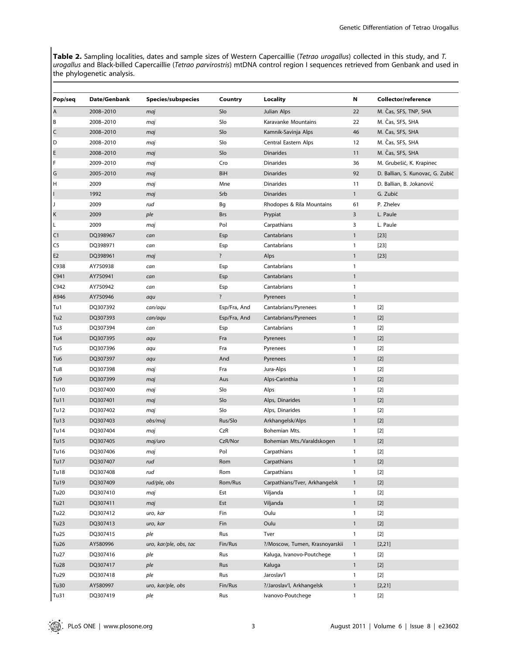Table 2. Sampling localities, dates and sample sizes of Western Capercaillie (Tetrao urogallus) collected in this study, and T. urogallus and Black-billed Capercaillie (Tetrao parvirostris) mtDNA control region I sequences retrieved from Genbank and used in the phylogenetic analysis.

| Pop/seq         | Date/Genbank | <b>Species/subspecies</b> | Country      | Locality                       | Ν            | Collector/reference              |
|-----------------|--------------|---------------------------|--------------|--------------------------------|--------------|----------------------------------|
| A               | 2008-2010    | maj                       | Slo          | Julian Alps                    | 22           | M. Čas, SFS, TNP, SHA            |
| B               | 2008-2010    | maj                       | Slo          | Karavanke Mountains            | 22           | M. Čas, SFS, SHA                 |
| C               | 2008-2010    | maj                       | Slo          | Kamnik-Savinja Alps            | 46           | M. Čas, SFS, SHA                 |
| D               | 2008-2010    | maj                       | Slo          | Central Eastern Alps           | 12           | M. Čas, SFS, SHA                 |
| E               | 2008-2010    | maj                       | Slo          | <b>Dinarides</b>               | 11           | M. Čas, SFS, SHA                 |
| F               | 2009-2010    | maj                       | Cro          | <b>Dinarides</b>               | 36           | M. Grubešić, K. Krapinec         |
| G               | 2005-2010    | maj                       | BiH          | <b>Dinarides</b>               | 92           | D. Ballian, S. Kunovac, G. Zubić |
| н               | 2009         | maj                       | Mne          | <b>Dinarides</b>               | 11           | D. Ballian, B. Jokanović         |
|                 | 1992         | maj                       | Srb          | <b>Dinarides</b>               | $\mathbf{1}$ | G. Zubić                         |
| IJ              | 2009         | rud                       | Bg           | Rhodopes & Rila Mountains      | 61           | P. Zhelev                        |
| Κ               | 2009         | ple                       | <b>Brs</b>   | Prypiat                        | 3            | L. Paule                         |
| Г               | 2009         | maj                       | Pol          | Carpathians                    | 3            | L. Paule                         |
| C <sub>1</sub>  | DQ398967     | can                       | Esp          | Cantabrians                    | $\mathbf{1}$ | $[23]$                           |
| C5              | DQ398971     | can                       | Esp          | Cantabrians                    | 1            | $[23]$                           |
| E2              | DQ398961     | maj                       | $\ddot{?}$   | Alps                           | $\mathbf{1}$ | $[23]$                           |
| C938            | AY750938     | can                       | Esp          | Cantabrians                    | 1            |                                  |
| C941            | AY750941     | can                       | Esp          | Cantabrians                    | $\mathbf{1}$ |                                  |
| C942            | AY750942     | can                       | Esp          | Cantabrians                    | 1            |                                  |
| A946            | AY750946     | aqu                       | $\ddot{?}$   | Pyrenees                       | $\mathbf{1}$ |                                  |
| Tu1             | DQ307392     | can/aqu                   | Esp/Fra, And | Cantabrians/Pyrenees           | 1            | $[2]$                            |
| Tu <sub>2</sub> | DQ307393     | can/aqu                   | Esp/Fra, And | Cantabrians/Pyrenees           | $\mathbf{1}$ | $[2]$                            |
| Tu3             | DQ307394     | can                       | Esp          | Cantabrians                    | 1            | $[2]$                            |
| Tu4             | DQ307395     | aqu                       | Fra          | Pyrenees                       | $\mathbf{1}$ | $[2]$                            |
| Tu5             | DQ307396     | aqu                       | Fra          | Pyrenees                       | 1            | $[2]$                            |
| Tu6             | DQ307397     | aqu                       | And          | Pyrenees                       | $\mathbf{1}$ | $[2]$                            |
| Tu8             | DQ307398     | maj                       | Fra          | Jura-Alps                      | 1            | $[2]$                            |
| Tu9             | DQ307399     | maj                       | Aus          | Alps-Carinthia                 | $\mathbf{1}$ | $[2]$                            |
| Tu10            | DQ307400     | maj                       | Slo          | Alps                           | 1            | $[2]$                            |
| Tu11            | DQ307401     | maj                       | Slo          | Alps, Dinarides                | $\mathbf{1}$ | $[2]$                            |
| Tu12            | DQ307402     | maj                       | Slo          | Alps, Dinarides                | $\mathbf{1}$ | $[2]$                            |
| Tu13            | DQ307403     | obs/maj                   | Rus/Slo      | Arkhangelsk/Alps               | $\mathbf{1}$ | $[2]$                            |
| Tu14            | DQ307404     | maj                       | CzR          | Bohemian Mts.                  | $\mathbf{1}$ | $[2]$                            |
| Tu15            | DQ307405     | maj/uro                   | CzR/Nor      | Bohemian Mts./Varaldskogen     | $\mathbf{1}$ | $[2]$                            |
| Tu16            | DQ307406     | maj                       | Pol          | Carpathians                    | 1            | $[2]$                            |
| Tu17            | DQ307407     | rud                       | Rom          | Carpathians                    | $\mathbf{1}$ | $[2]$                            |
| <b>Tu18</b>     | DQ307408     | rud                       | Rom          | Carpathians                    | $\mathbf{1}$ | $[2]$                            |
| Tu19            | DQ307409     | rud/ple, obs              | Rom/Rus      | Carpathians/Tver, Arkhangelsk  | $\mathbf{1}$ | $[2]$                            |
| Tu20            | DQ307410     | maj                       | Est          | Viljanda                       | $\mathbf{1}$ | $[2]$                            |
| Tu21            | DQ307411     | maj                       | Est          | Viljanda                       | $\mathbf{1}$ | $[2]$                            |
| Tu22            | DQ307412     | uro, kar                  | Fin          | Oulu                           | $\mathbf{1}$ | $[2]$                            |
| Tu23            | DQ307413     | uro, kar                  | Fin          | Oulu                           | $\mathbf{1}$ | $[2]$                            |
| Tu25            | DQ307415     | ple                       | Rus          | Tver                           | $\mathbf{1}$ | $[2]$                            |
| Tu26            | AY580996     | uro, kar/ple, obs, tac    | Fin/Rus      | ?/Moscow, Tumen, Krasnoyarskii | $\mathbf{1}$ | [2, 21]                          |
| Tu27            | DQ307416     | ple                       | Rus          | Kaluga, Ivanovo-Poutchege      | $\mathbf{1}$ | $[2]$                            |
| Tu28            | DQ307417     | ple                       | Rus          | Kaluga                         | $\mathbf{1}$ | $[2]$                            |
| Tu29            | DQ307418     | ple                       | Rus          | Jaroslav'l                     | $\mathbf{1}$ | $[2]$                            |
| Tu30            | AY580997     | uro, kar/ple, obs         | Fin/Rus      | ?/Jaroslav'l, Arkhangelsk      | $\mathbf{1}$ | [2, 21]                          |
| Tu31            | DQ307419     | ple                       | Rus          | Ivanovo-Poutchege              | $\mathbf{1}$ | $[2]$                            |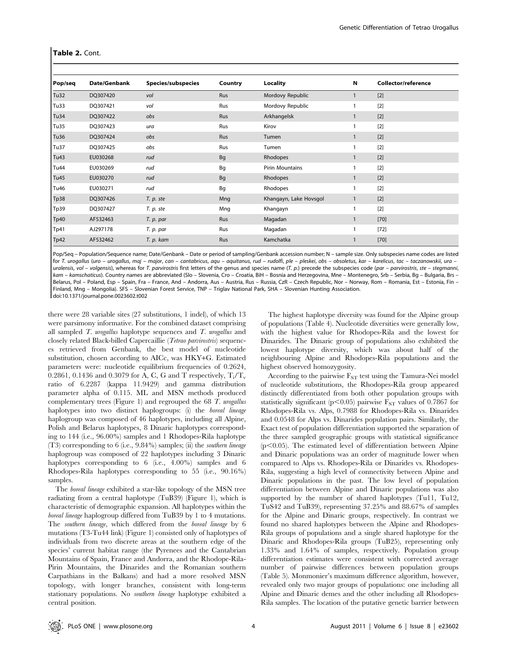| Pop/seq     | Date/Genbank | Species/subspecies | Country | Locality               | Ν | Collector/reference |
|-------------|--------------|--------------------|---------|------------------------|---|---------------------|
| Tu32        | DQ307420     | vol                | Rus     | Mordovy Republic       | 1 | $[2]$               |
| Tu33        | DQ307421     | vol                | Rus     | Mordovy Republic       |   | $[2]$               |
| Tu34        | DQ307422     | obs                | Rus     | Arkhangelsk            |   | $[2]$               |
| Tu35        | DQ307423     | ura                | Rus     | Kirov                  | 1 | $[2]$               |
| Tu36        | DQ307424     | obs                | Rus     | Tumen                  |   | $[2]$               |
| Tu37        | DQ307425     | obs                | Rus     | Tumen                  |   | $[2]$               |
| Tu43        | EU030268     | rud                | Bq      | Rhodopes               |   | $[2]$               |
| <b>Tu44</b> | EU030269     | rud                | Bg      | Pirin Mountains        |   | $[2]$               |
| Tu45        | EU030270     | rud                | Bq      | Rhodopes               |   | $[2]$               |
| Tu46        | EU030271     | rud                | Bq      | Rhodopes               |   | $[2]$               |
| Tp38        | DQ307426     | T. p. ste          | Mng     | Khangayn, Lake Hovsgol | 1 | $[2]$               |
| Tp39        | DQ307427     | T. p. ste          | Mng     | Khangayn               |   | $[2]$               |
| Tp40        | AF532463     | T. p. par          | Rus     | Magadan                | 1 | $[70]$              |
| Tp41        | AJ297178     | T. p. par          | Rus     | Magadan                | 1 | $[72]$              |
| Tp42        | AF532462     | T. p. kam          | Rus     | Kamchatka              |   | $[70]$              |

Pop/Seq – Population/Sequence name; Date/Genbank – Date or period of sampling/Genbank accession number; N – sample size. Only subspecies name codes are listed for T. urogallus (uro – urogallus, maj – major, can – cantabricus, aqu – aquitanus, rud – rudolfi, ple – pleskei, obs – obsoletus, kar – karelicus, tac – taczanowskii, ura – uralensis, vol – volgensis), whereas for T. parvirostris first letters of the genus and species name (T. p.) precede the subspecies code (par – parvirostris, ste – stegmanni, kam – kamschaticus). Country names are abbreviated (Slo – Slovenia, Cro – Croatia, BiH – Bosnia and Herzegovina, Mne – Montenegro, Srb – Serbia, Bg – Bulgaria, Brs – Belarus, Pol – Poland, Esp – Spain, Fra – France, And – Andorra, Aus – Austria, Rus – Russia, CzR – Czech Republic, Nor – Norway, Rom – Romania, Est – Estonia, Fin – Finland, Mng – Mongolia). SFS – Slovenian Forest Service, TNP – Triglav National Park, SHA – Slovenian Hunting Association. doi:10.1371/journal.pone.0023602.t002

there were 28 variable sites (27 substitutions, 1 indel), of which 13 were parsimony informative. For the combined dataset comprising all sampled  $T$ . urogallus haplotype sequences and  $T$ . urogallus and closely related Black-billed Capercaillie (Tetrao parvirostris) sequences retrieved from Genbank, the best model of nucleotide substitution, chosen according to AICc, was HKY+G. Estimated parameters were: nucleotide equilibrium frequencies of 0.2624, 0.2861, 0.1436 and 0.3079 for A, C, G and T respectively,  $T_i/T_v$ ratio of 6.2287 (kappa 11.9429) and gamma distribution parameter alpha of 0.115. ML and MSN methods produced complementary trees (Figure 1) and regrouped the 68 T. urogallus haplotypes into two distinct haplogroups: (i) the boreal lineage haplogroup was composed of 46 haplotypes, including all Alpine, Polish and Belarus haplotypes, 8 Dinaric haplotypes corresponding to 144 (i.e., 96.00%) samples and 1 Rhodopes-Rila haplotype (T3) corresponding to 6 (i.e., 9.84%) samples; (ii) the southern lineage haplogroup was composed of 22 haplotypes including 3 Dinaric haplotypes corresponding to 6 (i.e., 4.00%) samples and 6 Rhodopes-Rila haplotypes corresponding to 55 (i.e., 90.16%) samples.

The boreal lineage exhibited a star-like topology of the MSN tree radiating from a central haplotype (TuB39) (Figure 1), which is characteristic of demographic expansion. All haplotypes within the boreal lineage haplogroup differed from TuB39 by 1 to 4 mutations. The southern lineage, which differed from the boreal lineage by 6 mutations (T3-Tu44 link) (Figure 1) consisted only of haplotypes of individuals from two discrete areas at the southern edge of the species' current habitat range (the Pyrenees and the Cantabrian Mountains of Spain, France and Andorra, and the Rhodope-Rila-Pirin Mountains, the Dinarides and the Romanian southern Carpathians in the Balkans) and had a more resolved MSN topology, with longer branches, consistent with long-term stationary populations. No southern lineage haplotype exhibited a central position.

The highest haplotype diversity was found for the Alpine group of populations (Table 4). Nucleotide diversities were generally low, with the highest value for Rhodopes-Rila and the lowest for Dinarides. The Dinaric group of populations also exhibited the lowest haplotype diversity, which was about half of the neighbouring Alpine and Rhodopes-Rila populations and the highest observed homozygosity.

According to the pairwise  $F_{ST}$  test using the Tamura-Nei model of nucleotide substitutions, the Rhodopes-Rila group appeared distinctly differentiated from both other population groups with statistically significant ( $p<0.05$ ) pairwise  $F_{ST}$  values of 0.7867 for Rhodopes-Rila vs. Alps, 0.7988 for Rhodopes-Rila vs. Dinarides and 0.0548 for Alps vs. Dinarides population pairs. Similarly, the Exact test of population differentiation supported the separation of the three sampled geographic groups with statistical significance  $(p<0.05)$ . The estimated level of differentiation between Alpine and Dinaric populations was an order of magnitude lower when compared to Alps vs. Rhodopes-Rila or Dinarides vs. Rhodopes-Rila, suggesting a high level of connectivity between Alpine and Dinaric populations in the past. The low level of population differentiation between Alpine and Dinaric populations was also supported by the number of shared haplotypes (Tu11, Tu12, TuS42 and TuB39), representing 37.25% and 88.67% of samples for the Alpine and Dinaric groups, respectively. In contrast we found no shared haplotypes between the Alpine and Rhodopes-Rila groups of populations and a single shared haplotype for the Dinaric and Rhodopes-Rila groups (TuB25), representing only 1.33% and 1.64% of samples, respectively. Population group differentiation estimates were consistent with corrected average number of pairwise differences between population groups (Table 5). Monmonier's maximum difference algorithm, however, revealed only two major groups of populations: one including all Alpine and Dinaric demes and the other including all Rhodopes-Rila samples. The location of the putative genetic barrier between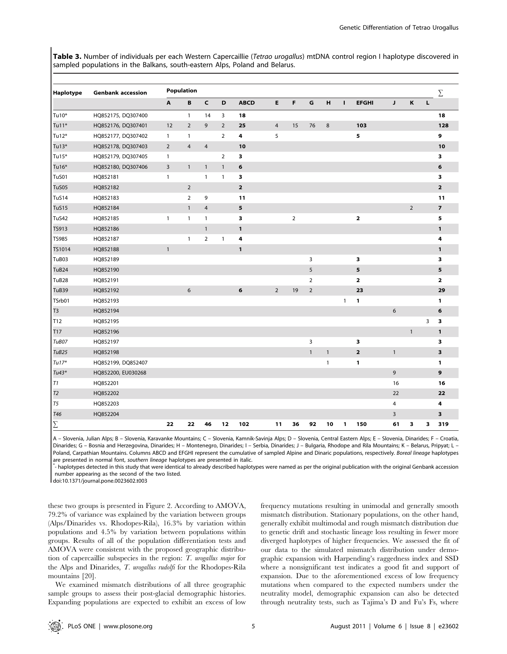Table 3. Number of individuals per each Western Capercaillie (Tetrao urogallus) mtDNA control region I haplotype discovered in sampled populations in the Balkans, south-eastern Alps, Poland and Belarus.

| Haplotype         | <b>Genbank accession</b> |                | <b>Population</b> |                |                |              |                |                |                |              |              |                         |              |                |   | $\Sigma$                |
|-------------------|--------------------------|----------------|-------------------|----------------|----------------|--------------|----------------|----------------|----------------|--------------|--------------|-------------------------|--------------|----------------|---|-------------------------|
|                   |                          | A              | B                 | $\mathsf{C}$   | D              | <b>ABCD</b>  | Е              | F              | G              | н            | $\mathbf{I}$ | <b>EFGHI</b>            | J            | $\,$ K         | L |                         |
| Tu10*             | HQ852175, DQ307400       |                | $\mathbf{1}$      | 14             | 3              | 18           |                |                |                |              |              |                         |              |                |   | 18                      |
| Tu11*             | HQ852176, DQ307401       | 12             | $\overline{2}$    | 9              | $\overline{2}$ | 25           | $\overline{4}$ | 15             | 76             | 8            |              | 103                     |              |                |   | 128                     |
| $Tu12*$           | HQ852177, DQ307402       | $\mathbf{1}$   | $\mathbf{1}$      |                | $\overline{2}$ | 4            | 5              |                |                |              |              | 5                       |              |                |   | 9                       |
| $Tu13*$           | HQ852178, DQ307403       | $\overline{2}$ | $\overline{4}$    | $\overline{4}$ |                | 10           |                |                |                |              |              |                         |              |                |   | 10                      |
| Tu15*             | HQ852179, DQ307405       | $\mathbf{1}$   |                   |                | $\overline{2}$ | з            |                |                |                |              |              |                         |              |                |   | 3                       |
| Tu16*             | HQ852180, DQ307406       | $\overline{3}$ | $\mathbf{1}$      | $\mathbf{1}$   | $\mathbf{1}$   | 6            |                |                |                |              |              |                         |              |                |   | 6                       |
| TuS01             | HQ852181                 | $\mathbf{1}$   |                   | $\mathbf{1}$   | $\mathbf{1}$   | з            |                |                |                |              |              |                         |              |                |   | 3                       |
| TuS05             | HQ852182                 |                | $\overline{2}$    |                |                | $\mathbf{2}$ |                |                |                |              |              |                         |              |                |   | $\overline{\mathbf{2}}$ |
| TuS14             | HQ852183                 |                | $\overline{2}$    | 9              |                | 11           |                |                |                |              |              |                         |              |                |   | 11                      |
| <b>TuS15</b>      | HQ852184                 |                | $\mathbf{1}$      | 4              |                | 5            |                |                |                |              |              |                         |              | $\overline{2}$ |   | $\overline{\mathbf{z}}$ |
| TuS42             | HQ852185                 | $\mathbf{1}$   | $\mathbf{1}$      | $\overline{1}$ |                | з            |                | $\overline{2}$ |                |              |              | $\mathbf 2$             |              |                |   | 5                       |
| TS913             | HQ852186                 |                |                   | $\mathbf{1}$   |                | $\mathbf{1}$ |                |                |                |              |              |                         |              |                |   | $\mathbf{1}$            |
| <b>TS985</b>      | HQ852187                 |                | $\mathbf{1}$      | $\overline{2}$ | $\mathbf{1}$   | 4            |                |                |                |              |              |                         |              |                |   | 4                       |
| TS1014            | HQ852188                 | $\mathbf{1}$   |                   |                |                | 1            |                |                |                |              |              |                         |              |                |   | $\mathbf{1}$            |
| TuB03             | HQ852189                 |                |                   |                |                |              |                |                | 3              |              |              | з                       |              |                |   | 3                       |
| TuB24             | HQ852190                 |                |                   |                |                |              |                |                | 5              |              |              | 5                       |              |                |   | 5                       |
| TuB28             | HQ852191                 |                |                   |                |                |              |                |                | $\overline{2}$ |              |              | $\overline{\mathbf{2}}$ |              |                |   | $\mathbf 2$             |
| TuB39             | HQ852192                 |                | 6                 |                |                | 6            | $\overline{2}$ | 19             | $\overline{2}$ |              |              | 23                      |              |                |   | 29                      |
| TSrb01            | HQ852193                 |                |                   |                |                |              |                |                |                |              | $\mathbf{1}$ | 1                       |              |                |   | 1                       |
| T <sub>3</sub>    | HQ852194                 |                |                   |                |                |              |                |                |                |              |              |                         | 6            |                |   | 6                       |
| T <sub>12</sub>   | HQ852195                 |                |                   |                |                |              |                |                |                |              |              |                         |              |                | 3 | 3                       |
| T17               | HQ852196                 |                |                   |                |                |              |                |                |                |              |              |                         |              | $\mathbf{1}$   |   | 1                       |
| TuB07             | HQ852197                 |                |                   |                |                |              |                |                | 3              |              |              | 3                       |              |                |   | 3                       |
| TuB <sub>25</sub> | HQ852198                 |                |                   |                |                |              |                |                | $\mathbf{1}$   | $\mathbf{1}$ |              | $\mathbf 2$             | $\mathbf{1}$ |                |   | 3                       |
| $Tu17*$           | HQ852199, DQ852407       |                |                   |                |                |              |                |                |                | $\mathbf{1}$ |              | 1                       |              |                |   | 1                       |
| $Tu43*$           | HQ852200, EU030268       |                |                   |                |                |              |                |                |                |              |              |                         | 9            |                |   | 9                       |
| T1                | HQ852201                 |                |                   |                |                |              |                |                |                |              |              |                         | 16           |                |   | 16                      |
| T <sub>2</sub>    | HQ852202                 |                |                   |                |                |              |                |                |                |              |              |                         | 22           |                |   | 22                      |
| T5                | HQ852203                 |                |                   |                |                |              |                |                |                |              |              |                         | 4            |                |   | 4                       |
| T46               | HQ852204                 |                |                   |                |                |              |                |                |                |              |              |                         | 3            |                |   | 3                       |
| $\Sigma$          |                          | 22             | 22                | 46             | 12             | 102          | 11             | 36             | 92             | 10           | 1            | 150                     | 61           | 3              | 3 | 319                     |

A – Slovenia, Julian Alps; B – Slovenia, Karavanke Mountains; C – Slovenia, Kamnik-Savinja Alps; D – Slovenia, Central Eastern Alps; E – Slovenia, Dinarides; F – Croatia, Dinarides; G - Bosnia and Herzegovina, Dinarides; H - Montenegro, Dinarides; I - Serbia, Dinarides; J - Bulgaria, Rhodope and Rila Mountains; K - Belarus, Pripyat; L -Poland, Carpathian Mountains. Columns ABCD and EFGHI represent the cumulative of sampled Alpine and Dinaric populations, respectively. Boreal lineage haplotypes are presented in normal font, southern lineage haplotypes are presented in italic.

- haplotypes detected in this study that were identical to already described haplotypes were named as per the original publication with the original Genbank accession number appearing as the second of the two listed.

doi:10.1371/journal.pone.0023602.t003

these two groups is presented in Figure 2. According to AMOVA, 79.2% of variance was explained by the variation between groups (Alps/Dinarides vs. Rhodopes-Rila), 16.3% by variation within populations and 4.5% by variation between populations within groups. Results of all of the population differentiation tests and AMOVA were consistent with the proposed geographic distribution of capercaillie subspecies in the region: T. urogallus major for the Alps and Dinarides, T. urogallus rudolfi for the Rhodopes-Rila mountains [20].

We examined mismatch distributions of all three geographic sample groups to assess their post-glacial demographic histories. Expanding populations are expected to exhibit an excess of low frequency mutations resulting in unimodal and generally smooth mismatch distribution. Stationary populations, on the other hand, generally exhibit multimodal and rough mismatch distribution due to genetic drift and stochastic lineage loss resulting in fewer more diverged haplotypes of higher frequencies. We assessed the fit of our data to the simulated mismatch distribution under demographic expansion with Harpending's raggedness index and SSD where a nonsignificant test indicates a good fit and support of expansion. Due to the aforementioned excess of low frequency mutations when compared to the expected numbers under the neutrality model, demographic expansion can also be detected through neutrality tests, such as Tajima's D and Fu's Fs, where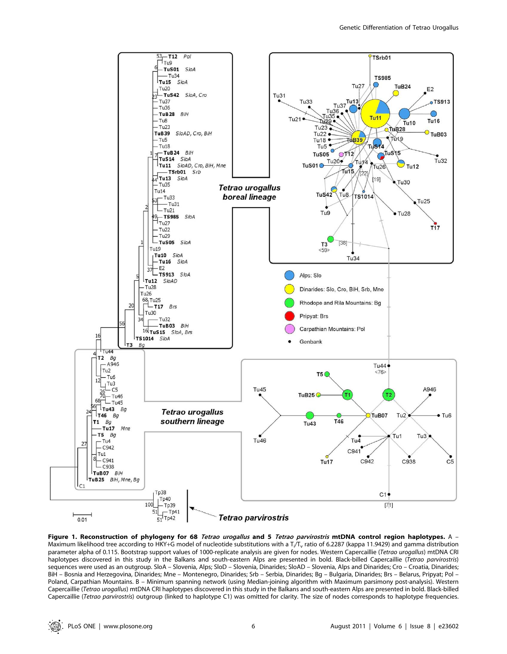

Figure 1. Reconstruction of phylogeny for 68 Tetrao urogallus and 5 Tetrao parvirostris mtDNA control region haplotypes. A -Maximum likelihood tree according to HKY+G model of nucleotide substitutions with a T<sub>i</sub>/T<sub>v</sub> ratio of 6.2287 (kappa 11.9429) and gamma distribution parameter alpha of 0.115. Bootstrap support values of 1000-replicate analysis are given for nodes. Western Capercaillie (Tetrao urogallus) mtDNA CRI haplotypes discovered in this study in the Balkans and south-eastern Alps are presented in bold. Black-billed Capercaillie (Tetrao parvirostris) sequences were used as an outgroup. SloA – Slovenia, Alps; SloD – Slovenia, Dinarides; SloAD – Slovenia, Alps and Dinarides; Cro – Croatia, Dinarides; BiH – Bosnia and Herzegovina, Dinarides; Mne – Montenegro, Dinarides; Srb – Serbia, Dinarides; Bg – Bulgaria, Dinarides; Brs – Belarus, Pripyat; Pol – Poland, Carpathian Mountains. B – Minimum spanning network (using Median-joining algorithm with Maximum parsimony post-analysis). Western Capercaillie (Tetrao urogallus) mtDNA CRI haplotypes discovered in this study in the Balkans and south-eastern Alps are presented in bold. Black-billed Capercaillie (Tetrao parvirostris) outgroup (linked to haplotype C1) was omitted for clarity. The size of nodes corresponds to haplotype frequencies.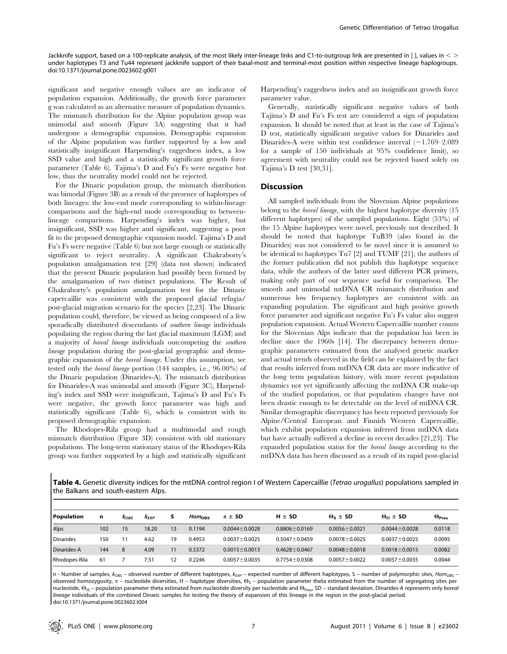Jackknife support, based on a 100-replicate analysis, of the most likely inter-lineage links and C1-to-outgroup link are presented in [], values in  $\lt$  > under haplotypes T3 and Tu44 represent jackknife support of their basal-most and terminal-most position within respective lineage haplogroups. doi:10.1371/journal.pone.0023602.g001

significant and negative enough values are an indicator of population expansion. Additionally, the growth force parameter g was calculated as an alternative measure of population dynamics. The mismatch distribution for the Alpine population group was unimodal and smooth (Figure 3A) suggesting that it had undergone a demographic expansion. Demographic expansion of the Alpine population was further supported by a low and statistically insignificant Harpending's raggedness index, a low SSD value and high and a statistically significant growth force parameter (Table 6). Tajima's D and Fu's Fs were negative but low, thus the neutrality model could not be rejected.

For the Dinaric population group, the mismatch distribution was bimodal (Figure 3B) as a result of the presence of haplotypes of both lineages: the low-end mode corresponding to within-lineage comparisons and the high-end mode corresponding to betweenlineage comparisons. Harpending's index was higher, but insignificant, SSD was higher and significant, suggesting a poor fit to the proposed demographic expansion model. Tajima's D and Fu's Fs were negative (Table 6) but not large enough or statistically significant to reject neutrality. A significant Chakraborty's population amalgamation test [29] (data not shown) indicated that the present Dinaric population had possibly been formed by the amalgamation of two distinct populations. The Result of Chakraborty's population amalgamation test for the Dinaric capercaillie was consistent with the proposed glacial refugia/ post-glacial migration scenario for the species [2,23]. The Dinaric population could, therefore, be viewed as being composed of a few sporadically distributed descendants of southern lineage individuals populating the region during the last glacial maximum (LGM) and a majority of boreal lineage individuals outcompeting the southern lineage population during the post-glacial geographic and demographic expansion of the boreal lineage. Under this assumption, we tested only the boreal lineage portion (144 samples, i.e., 96.00%) of the Dinaric population (Dinarides-A). The mismatch distribution for Dinarides-A was unimodal and smooth (Figure 3C), Harpending's index and SSD were insignificant, Tajima's D and Fu's Fs were negative, the growth force parameter was high and statistically significant (Table 6), which is consistent with its proposed demographic expansion.

The Rhodopes-Rila group had a multimodal and rough mismatch distribution (Figure 3D) consistent with old stationary populations. The long-term stationary status of the Rhodopes-Rila group was further supported by a high and statistically significant Harpending's raggedness index and an insignificant growth force parameter value.

Generally, statistically significant negative values of both Tajima's D and Fu's Fs test are considered a sign of population expansion. It should be noted that at least in the case of Tajima's D test, statistically significant negative values for Dinarides and Dinarides-A were within test confidence interval  $(-1.769-2.089)$ for a sample of 150 individuals at 95% confidence limit), so agreement with neutrality could not be rejected based solely on Tajima's D test [30,31].

#### **Discussion**

All sampled individuals from the Slovenian Alpine populations belong to the boreal lineage, with the highest haplotype diversity (15 different haplotypes) of the sampled populations. Eight (53%) of the 15 Alpine haplotypes were novel, previously not described. It should be noted that haplotype TuB39 (also found in the Dinarides) was not considered to be novel since it is assumed to be identical to haplotypes Tu7 [2] and TUMF [21]; the authors of the former publication did not publish this haplotype sequence data, while the authors of the latter used different PCR primers, making only part of our sequence useful for comparison. The smooth and unimodal mtDNA CR mismatch distribution and numerous low frequency haplotypes are consistent with an expanding population. The significant and high positive growth force parameter and significant negative Fu's Fs value also suggest population expansion. Actual Western Capercaillie number counts for the Slovenian Alps indicate that the population has been in decline since the 1960s [14]. The discrepancy between demographic parameters estimated from the analysed genetic marker and actual trends observed in the field can be explained by the fact that results inferred from mtDNA CR data are more indicative of the long term population history, with more recent population dynamics not yet significantly affecting the mtDNA CR make-up of the studied population, or that population changes have not been drastic enough to be detectable on the level of mtDNA CR. Similar demographic discrepancy has been reported previously for Alpine/Central European and Finnish Western Capercaillie, which exhibit population expansion inferred from mtDNA data but have actually suffered a decline in recent decades [21,23]. The expanded population status for the boreal lineage according to the mtDNA data has been discussed as a result of its rapid post-glacial

Table 4. Genetic diversity indices for the mtDNA control region I of Western Capercaillie (Tetrao urogallus) populations sampled in the Balkans and south-eastern Alps.

| Population       | n   | <b>KOBS</b> | <b>K</b> <sub>EXP</sub> | s  | Hom <sub>ons</sub> | $\pi \pm SD$        | $H \pm SD$          | $\Theta_{\rm c} \pm {\rm SD}$ | $\Theta_{\rm II}$ ± SD | $\Theta$ <sub>Pres</sub> |
|------------------|-----|-------------|-------------------------|----|--------------------|---------------------|---------------------|-------------------------------|------------------------|--------------------------|
| Alps             | 102 | 15          | 18.20                   | 13 | 0.1194             | $0.0044 \pm 0.0028$ | $0.8806 \pm 0.0169$ | $0.0056 \pm 0.0021$           | $0.0044 \pm 0.0028$    | 0.0118                   |
| <b>Dinarides</b> | 150 |             | 4.62                    | 19 | 0.4953             | $0.0037 \pm 0.0025$ | $0.5047 \pm 0.0459$ | $0.0078 \pm 0.0025$           | $0.0037 \pm 0.0025$    | 0.0095                   |
| Dinarides-A      | 144 | 8           | 4.09                    | 11 | 0.5372             | $0.0015 \pm 0.0013$ | $0.4628 \pm 0.0467$ | $0.0048 \pm 0.0018$           | $0.0018 \pm 0.0015$    | 0.0082                   |
| Rhodopes-Rila    | 61  |             | 7.51                    | 12 | 0.2246             | $0.0057 \pm 0.0035$ | $0.7754 \pm 0.0308$ | $0.0057 \pm 0.0022$           | $0.0057 \pm 0.0035$    | 0.0044                   |

n - Number of samples,  $k_{OBS}$  – observed number of different haplotypes,  $k_{EXP}$  – expected number of different haplotypes, S – number of polymorphic sites, Hom<sub>OBS</sub> – observed homozygosity,  $\pi$  – nucleotide diversities, H – haplotype diversities,  $\Theta_s$  – population parameter theta estimated from the number of segregating sites per nucleotide,  $\Theta_{\Pi}$  – population parameter theta estimated from nucleotide diversity per nucleotide and  $\Theta_{\text{Pres}}$  SD – standard deviation. Dinarides-A represents only boreal lineage individuals of the combined Dinaric samples for testing the theory of expansion of this lineage in the region in the post-glacial period. doi:10.1371/journal.pone.0023602.t004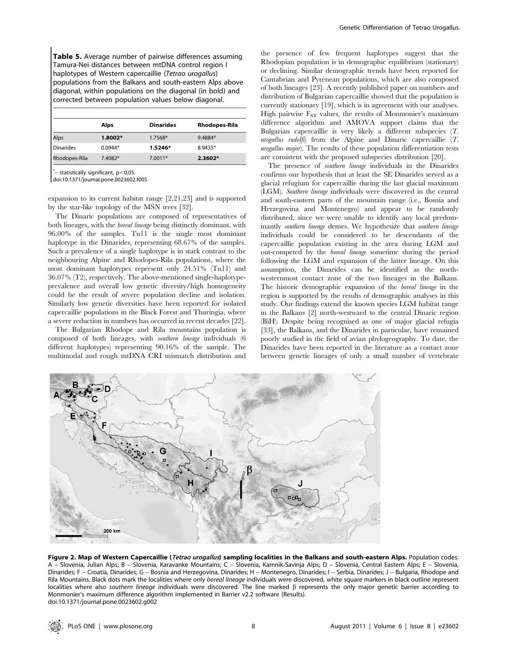Table 5. Average number of pairwise differences assuming Tamura-Nei distances between mtDNA control region I haplotypes of Western capercaillie (Tetrao urogallus) populations from the Balkans and south-eastern Alps above diagonal, within populations on the diagonal (in bold) and corrected between population values below diagonal.

|                  | Alps      | <b>Dinarides</b> | Rhodopes-Rila |
|------------------|-----------|------------------|---------------|
| Alps             | 1.8002*   | 1.7568*          | 9.4884*       |
| <b>Dinarides</b> | $0.0944*$ | 1.5246*          | 8.9435*       |
| Rhodopes-Rila    | 7.4082*   | $7.0011*$        | 2.3602*       |

 $^*$ – statistically significant, p $<$ 0,05.

doi:10.1371/journal.pone.0023602.t005

expansion to its current habitat range [2,21,23] and is supported by the star-like topology of the MSN trees [32].

The Dinaric populations are composed of representatives of both lineages, with the boreal lineage being distinctly dominant, with 96.00% of the samples. Tu11 is the single most dominant haplotype in the Dinarides, representing 68.67% of the samples. Such a prevalence of a single haplotype is in stark contrast to the neighbouring Alpine and Rhodopes-Rila populations, where the most dominant haplotypes represent only 24.51% (Tu11) and 36.07% (T2), respectively. The above-mentioned single-haplotypeprevalence and overall low genetic diversity/high homogeneity could be the result of severe population decline and isolation. Similarly low genetic diversities have been reported for isolated capercaillie populations in the Black Forest and Thuringia, where a severe reduction in numbers has occurred in recent decades [22].

The Bulgarian Rhodope and Rila mountains population is composed of both lineages, with southern lineage individuals (6 different haplotypes) representing 90.16% of the sample. The multimodal and rough mtDNA CRI mismatch distribution and

the presence of few frequent haplotypes suggest that the Rhodopian population is in demographic equilibrium (stationary) or declining. Similar demographic trends have been reported for Cantabrian and Pyrenean populations, which are also composed of both lineages [23]. A recently published paper on numbers and distribution of Bulgarian capercaillie showed that the population is currently stationary [19], which is in agreement with our analyses. High pairwise  $F_{ST}$  values, the results of Monmonier's maximum difference algorithm and AMOVA support claims that the Bulgarian capercaillie is very likely a different subspecies (T. urogallus rudolfi) from the Alpine and Dinaric capercaillie  $(T$ . urogallus major). The results of these population differentiation tests are consistent with the proposed subspecies distribution [20].

The presence of southern lineage individuals in the Dinarides confirms our hypothesis that at least the SE Dinarides served as a glacial refugium for capercaillie during the last glacial maximum (LGM). Southern lineage individuals were discovered in the central and south-eastern parts of the mountain range (i.e., Bosnia and Herzegovina and Montenegro) and appear to be randomly distributed, since we were unable to identify any local predominantly southern lineage demes. We hypothesize that southern lineage individuals could be considered to be descendants of the capercaillie population existing in the area during LGM and out-competed by the boreal lineage sometime during the period following the LGM and expansion of the latter lineage. On this assumption, the Dinarides can be identified as the northwesternmost contact zone of the two lineages in the Balkans. The historic demographic expansion of the boreal lineage in the region is supported by the results of demographic analyses in this study. Our findings extend the known species LGM habitat range in the Balkans [2] north-westward to the central Dinaric region (BiH). Despite being recognised as one of major glacial refugia [33], the Balkans, and the Dinarides in particular, have remained poorly studied in the field of avian phylogeography. To date, the Dinarides have been reported in the literature as a contact zone between genetic lineages of only a small number of vertebrate



Figure 2. Map of Western Capercaillie (Tetrao urogallus) sampling localities in the Balkans and south-eastern Alps. Population codes: A – Slovenia, Julian Alps; B – Slovenia, Karavanke Mountains; C – Slovenia, Kamnik-Savinja Alps; D – Slovenia, Central Eastern Alps; E – Slovenia, Dinarides; F – Croatia, Dinarides; G – Bosnia and Herzegovina, Dinarides; H – Montenegro, Dinarides; I – Serbia, Dinarides; J – Bulgaria, Rhodope and Rila Mountains. Black dots mark the localities where only boreal lineage individuals were discovered, white square markers in black outline represent localities where also southern lineage individuals were discovered. The line marked  $\beta$  represents the only major genetic barrier according to Monmonier's maximum difference algorithm implemented in Barrier v2.2 software (Results). doi:10.1371/journal.pone.0023602.g002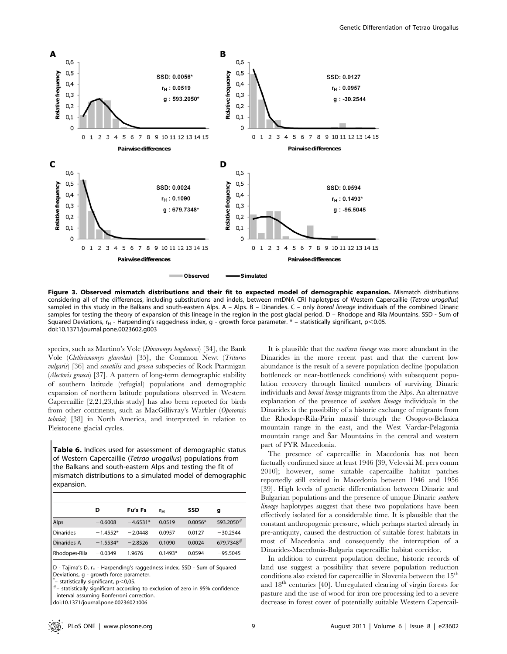

Figure 3. Observed mismatch distributions and their fit to expected model of demographic expansion. Mismatch distributions considering all of the differences, including substitutions and indels, between mtDNA CRI haplotypes of Western Capercaillie (Tetrao urogallus) sampled in this study in the Balkans and south-eastern Alps. A – Alps. B – Dinarides. C – only boreal lineage individuals of the combined Dinaric samples for testing the theory of expansion of this lineage in the region in the post glacial period. D - Rhodope and Rila Mountains. SSD - Sum of Squared Deviations,  $r_H$  - Harpending's raggedness index, g - growth force parameter.  $*$  – statistically significant,  $p<0.05$ . doi:10.1371/journal.pone.0023602.g003

species, such as Martino's Vole (*Dinaromys bogdanovi*) [34], the Bank Vole (Clethrionomys glareolus) [35], the Common Newt (Triturus vulgaris) [36] and saxatilis and graeca subspecies of Rock Ptarmigan (Alectoris graeca) [37]. A pattern of long-term demographic stability of southern latitude (refugial) populations and demographic expansion of northern latitude populations observed in Western Capercaillie [2,21,23,this study] has also been reported for birds from other continents, such as MacGillivray's Warbler (Oporornis tolmiei) [38] in North America, and interpreted in relation to Pleistocene glacial cycles.

Table 6. Indices used for assessment of demographic status of Western Capercaillie (Tetrao urogallus) populations from the Balkans and south-eastern Alps and testing the fit of mismatch distributions to a simulated model of demographic expansion.

|                  | D          | Fu's Fs    | rн        | SSD       | g               |
|------------------|------------|------------|-----------|-----------|-----------------|
| Alps             | $-0.6008$  | $-4.6531*$ | 0.0519    | $0.0056*$ | $593.2050^{\#}$ |
| <b>Dinarides</b> | $-1.4552*$ | $-2.0448$  | 0.0957    | 0.0127    | $-30.2544$      |
| Dinarides-A      | $-1.5534*$ | $-2.8526$  | 0.1090    | 0.0024    | 679.7348#       |
| Rhodopes-Rila    | $-0.0349$  | 1.9676     | $0.1493*$ | 0.0594    | $-95.5045$      |

D - Tajima's D, r<sub>H</sub> - Harpending's raggedness index, SSD - Sum of Squared Deviations, g - growth force parameter.<br>  $*$  - statistically significant,  $p < 0.05$ .

\*

 $^{\#}$ – statistically significant according to exclusion of zero in 95% confidence interval assuming Bonferroni correction.

doi:10.1371/journal.pone.0023602.t006

It is plausible that the southern lineage was more abundant in the Dinarides in the more recent past and that the current low abundance is the result of a severe population decline (population bottleneck or near-bottleneck conditions) with subsequent population recovery through limited numbers of surviving Dinaric individuals and boreal lineage migrants from the Alps. An alternative explanation of the presence of southern lineage individuals in the Dinarides is the possibility of a historic exchange of migrants from the Rhodope-Rila-Pirin massif through the Osogovo-Belasica mountain range in the east, and the West Vardar-Pelagonia mountain range and Šar Mountains in the central and western part of FYR Macedonia.

The presence of capercaillie in Macedonia has not been factually confirmed since at least 1946 [39, Velevski M. pers comm 2010]; however, some suitable capercaillie habitat patches reportedly still existed in Macedonia between 1946 and 1956 [39]. High levels of genetic differentiation between Dinaric and Bulgarian populations and the presence of unique Dinaric southern lineage haplotypes suggest that these two populations have been effectively isolated for a considerable time. It is plausible that the constant anthropogenic pressure, which perhaps started already in pre-antiquity, caused the destruction of suitable forest habitats in most of Macedonia and consequently the interruption of a Dinarides-Macedonia-Bulgaria capercaillie habitat corridor.

In addition to current population decline, historic records of land use suggest a possibility that severe population reduction conditions also existed for capercaillie in Slovenia between the  $15<sup>th</sup>$ and  $18<sup>th</sup>$  centuries [40]. Unregulated clearing of virgin forests for pasture and the use of wood for iron ore processing led to a severe decrease in forest cover of potentially suitable Western Capercail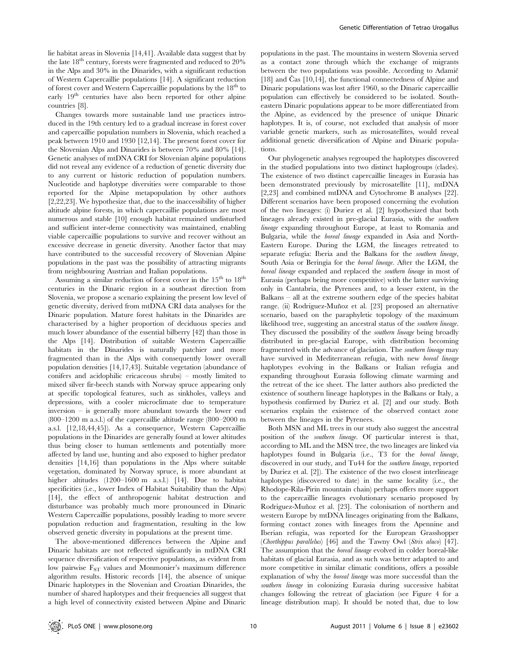lie habitat areas in Slovenia [14,41]. Available data suggest that by the late  $18<sup>th</sup>$  century, forests were fragmented and reduced to  $20\%$ in the Alps and 30% in the Dinarides, with a significant reduction of Western Capercaillie populations [14]. A significant reduction of forest cover and Western Capercaillie populations by the  $18<sup>th</sup>$  to early 19<sup>th</sup> centuries have also been reported for other alpine countries [8].

Changes towards more sustainable land use practices introduced in the 19th century led to a gradual increase in forest cover and capercaillie population numbers in Slovenia, which reached a peak between 1910 and 1930 [12,14]. The present forest cover for the Slovenian Alps and Dinarides is between 70% and 80% [14]. Genetic analyses of mtDNA CRI for Slovenian alpine populations did not reveal any evidence of a reduction of genetic diversity due to any current or historic reduction of population numbers. Nucleotide and haplotype diversities were comparable to those reported for the Alpine metapopulation by other authors [2,22,23]. We hypothesize that, due to the inaccessibility of higher altitude alpine forests, in which capercaillie populations are most numerous and stable [10] enough habitat remained undisturbed and sufficient inter-deme connectivity was maintained, enabling viable capercaillie populations to survive and recover without an excessive decrease in genetic diversity. Another factor that may have contributed to the successful recovery of Slovenian Alpine populations in the past was the possibility of attracting migrants from neighbouring Austrian and Italian populations.

Assuming a similar reduction of forest cover in the  $15<sup>th</sup>$  to  $18<sup>th</sup>$ centuries in the Dinaric region in a southeast direction from Slovenia, we propose a scenario explaining the present low level of genetic diversity, derived from mtDNA CRI data analyses for the Dinaric population. Mature forest habitats in the Dinarides are characterised by a higher proportion of deciduous species and much lower abundance of the essential bilberry [42] than those in the Alps [14]. Distribution of suitable Western Capercaillie habitats in the Dinarides is naturally patchier and more fragmented than in the Alps with consequently lower overall population densities [14,17,43]. Suitable vegetation (abundance of conifers and acidophilic ericaceous shrubs) – mostly limited to mixed silver fir-beech stands with Norway spruce appearing only at specific topological features, such as sinkholes, valleys and depressions, with a cooler microclimate due to temperature inversion – is generally more abundant towards the lower end (800–1200 m a.s.l.) of the capercaillie altitude range (800–2000 m a.s.l. [12,18,44,45]). As a consequence, Western Capercaillie populations in the Dinarides are generally found at lower altitudes thus being closer to human settlements and potentially more affected by land use, hunting and also exposed to higher predator densities [14,16] than populations in the Alps where suitable vegetation, dominated by Norway spruce, is more abundant at higher altitudes (1200–1600 m a.s.l.) [14]. Due to habitat specificities (i.e., lower Index of Habitat Suitability than the Alps) [14], the effect of anthropogenic habitat destruction and disturbance was probably much more pronounced in Dinaric Western Capercaillie populations, possibly leading to more severe population reduction and fragmentation, resulting in the low observed genetic diversity in populations at the present time.

The above-mentioned differences between the Alpine and Dinaric habitats are not reflected significantly in mtDNA CRI sequence diversification of respective populations, as evident from low pairwise  $F_{ST}$  values and Monmonier's maximum difference algorithm results. Historic records [14], the absence of unique Dinaric haplotypes in the Slovenian and Croatian Dinarides, the number of shared haplotypes and their frequencies all suggest that a high level of connectivity existed between Alpine and Dinaric

populations in the past. The mountains in western Slovenia served as a contact zone through which the exchange of migrants between the two populations was possible. According to Adamic [18] and  $\text{Cas } [10,14]$ , the functional connectedness of Alpine and Dinaric populations was lost after 1960, so the Dinaric capercaillie population can effectively be considered to be isolated. Southeastern Dinaric populations appear to be more differentiated from the Alpine, as evidenced by the presence of unique Dinaric haplotypes. It is, of course, not excluded that analysis of more variable genetic markers, such as microsatellites, would reveal additional genetic diversification of Alpine and Dinaric populations.

Our phylogenetic analyses regrouped the haplotypes discovered in the studied populations into two distinct haplogroups (clades). The existence of two distinct capercaillie lineages in Eurasia has been demonstrated previously by microsatellite [11], mtDNA [2,23] and combined mtDNA and Cytochrome B analyses [22]. Different scenarios have been proposed concerning the evolution of the two lineages: (i) Duriez et al. [2] hypothesized that both lineages already existed in pre-glacial Eurasia, with the southern lineage expanding throughout Europe, at least to Romania and Bulgaria, while the boreal lineage expanded in Asia and North-Eastern Europe. During the LGM, the lineages retreated to separate refugia: Iberia and the Balkans for the southern lineage, South Asia or Beringia for the boreal lineage. After the LGM, the boreal lineage expanded and replaced the southern lineage in most of Eurasia (perhaps being more competitive) with the latter surviving only in Cantabria, the Pyrenees and, to a lesser extent, in the Balkans – all at the extreme southern edge of the species habitat range. (ii) Rodríguez-Muñoz et al. [23] proposed an alternative scenario, based on the paraphyletic topology of the maximum likelihood tree, suggesting an ancestral status of the southern lineage. They discussed the possibility of the *southern lineage* being broadly distributed in pre-glacial Europe, with distribution becoming fragmented with the advance of glaciation. The southern lineage may have survived in Mediterranean refugia, with new boreal lineage haplotypes evolving in the Balkans or Italian refugia and expanding throughout Eurasia following climate warming and the retreat of the ice sheet. The latter authors also predicted the existence of southern lineage haplotypes in the Balkans or Italy, a hypothesis confirmed by Duriez et al. [2] and our study. Both scenarios explain the existence of the observed contact zone between the lineages in the Pyrenees.

Both MSN and ML trees in our study also suggest the ancestral position of the southern lineage. Of particular interest is that, according to ML and the MSN tree, the two lineages are linked via haplotypes found in Bulgaria (i.e., T3 for the boreal lineage, discovered in our study, and Tu44 for the southern lineage, reported by Duriez et al. [2]). The existence of the two closest interlineage haplotypes (discovered to date) in the same locality (i.e., the Rhodope-Rila-Pirin mountain chain) perhaps offers more support to the capercaillie lineages evolutionary scenario proposed by Rodríguez-Muñoz et al. [23]. The colonisation of northern and western Europe by mtDNA lineages originating from the Balkans, forming contact zones with lineages from the Apennine and Iberian refugia, was reported for the European Grasshopper (Chorthippus parallelus) [46] and the Tawny Owl (Strix aluco) [47]. The assumption that the *boreal lineage* evolved in colder boreal-like habitats of glacial Eurasia, and as such was better adapted to and more competitive in similar climatic conditions, offers a possible explanation of why the boreal lineage was more successful than the southern lineage in colonizing Eurasia during successive habitat changes following the retreat of glaciation (see Figure 4 for a lineage distribution map). It should be noted that, due to low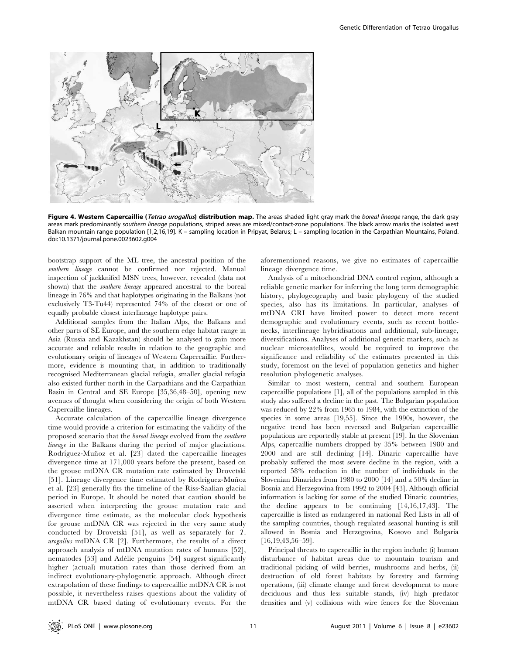

Figure 4. Western Capercaillie (Tetrao urogallus) distribution map. The areas shaded light gray mark the boreal lineage range, the dark gray areas mark predominantly southern lineage populations, striped areas are mixed/contact-zone populations. The black arrow marks the isolated west Balkan mountain range population [1,2,16,19]. K – sampling location in Pripyat, Belarus; L – sampling location in the Carpathian Mountains, Poland. doi:10.1371/journal.pone.0023602.g004

bootstrap support of the ML tree, the ancestral position of the southern lineage cannot be confirmed nor rejected. Manual inspection of jackknifed MSN trees, however, revealed (data not shown) that the *southern lineage* appeared ancestral to the boreal lineage in 76% and that haplotypes originating in the Balkans (not exclusively T3-Tu44) represented 74% of the closest or one of equally probable closest interlineage haplotype pairs.

Additional samples from the Italian Alps, the Balkans and other parts of SE Europe, and the southern edge habitat range in Asia (Russia and Kazakhstan) should be analysed to gain more accurate and reliable results in relation to the geographic and evolutionary origin of lineages of Western Capercaillie. Furthermore, evidence is mounting that, in addition to traditionally recognised Mediterranean glacial refugia, smaller glacial refugia also existed further north in the Carpathians and the Carpathian Basin in Central and SE Europe [35,36,48–50], opening new avenues of thought when considering the origin of both Western Capercaillie lineages.

Accurate calculation of the capercaillie lineage divergence time would provide a criterion for estimating the validity of the proposed scenario that the boreal lineage evolved from the southern lineage in the Balkans during the period of major glaciations. Rodríguez-Muñoz et al. [23] dated the capercaillie lineages divergence time at 171,000 years before the present, based on the grouse mtDNA CR mutation rate estimated by Drovetski [51]. Lineage divergence time estimated by Rodríguez-Muñoz et al. [23] generally fits the timeline of the Riss-Saalian glacial period in Europe. It should be noted that caution should be asserted when interpreting the grouse mutation rate and divergence time estimate, as the molecular clock hypothesis for grouse mtDNA CR was rejected in the very same study conducted by Drovetski [51], as well as separately for T. urogallus mtDNA CR [2]. Furthermore, the results of a direct approach analysis of mtDNA mutation rates of humans [52], nematodes [53] and Adélie penguins [54] suggest significantly higher (actual) mutation rates than those derived from an indirect evolutionary-phylogenetic approach. Although direct extrapolation of these findings to capercaillie mtDNA CR is not possible, it nevertheless raises questions about the validity of mtDNA CR based dating of evolutionary events. For the

aforementioned reasons, we give no estimates of capercaillie lineage divergence time.

Analysis of a mitochondrial DNA control region, although a reliable genetic marker for inferring the long term demographic history, phylogeography and basic phylogeny of the studied species, also has its limitations. In particular, analyses of mtDNA CRI have limited power to detect more recent demographic and evolutionary events, such as recent bottlenecks, interlineage hybridisations and additional, sub-lineage, diversifications. Analyses of additional genetic markers, such as nuclear microsatellites, would be required to improve the significance and reliability of the estimates presented in this study, foremost on the level of population genetics and higher resolution phylogenetic analyses.

Similar to most western, central and southern European capercaillie populations [1], all of the populations sampled in this study also suffered a decline in the past. The Bulgarian population was reduced by 22% from 1965 to 1984, with the extinction of the species in some areas [19,55]. Since the 1990s, however, the negative trend has been reversed and Bulgarian capercaillie populations are reportedly stable at present [19]. In the Slovenian Alps, capercaillie numbers dropped by 35% between 1980 and 2000 and are still declining [14]. Dinaric capercaillie have probably suffered the most severe decline in the region, with a reported 58% reduction in the number of individuals in the Slovenian Dinarides from 1980 to 2000 [14] and a 50% decline in Bosnia and Herzegovina from 1992 to 2004 [43]. Although official information is lacking for some of the studied Dinaric countries, the decline appears to be continuing [14,16,17,43]. The capercaillie is listed as endangered in national Red Lists in all of the sampling countries, though regulated seasonal hunting is still allowed in Bosnia and Herzegovina, Kosovo and Bulgaria [16,19,43,56–59].

Principal threats to capercaillie in the region include: (i) human disturbance of habitat areas due to mountain tourism and traditional picking of wild berries, mushrooms and herbs, (ii) destruction of old forest habitats by forestry and farming operations, (iii) climate change and forest development to more deciduous and thus less suitable stands, (iv) high predator densities and (v) collisions with wire fences for the Slovenian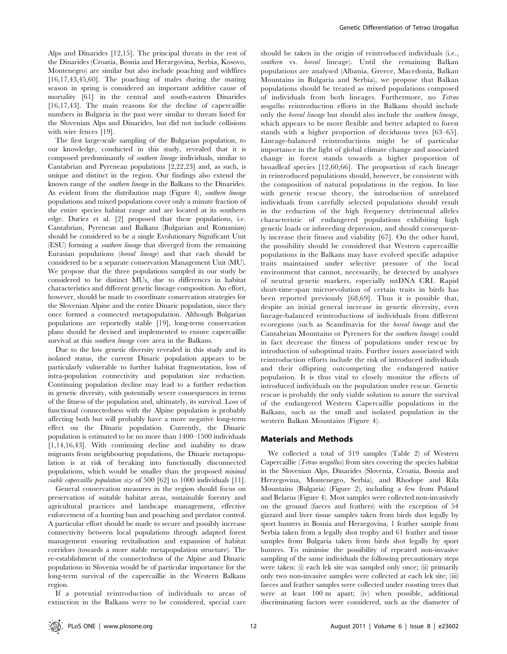Alps and Dinarides [12,15]. The principal threats in the rest of the Dinarides (Croatia, Bosnia and Herzegovina, Serbia, Kosovo, Montenegro) are similar but also include poaching and wildfires [16,17,43,45,60]. The poaching of males during the mating season in spring is considered an important additive cause of mortality [61] in the central and south-eastern Dinarides [16,17,43]. The main reasons for the decline of capercaillie numbers in Bulgaria in the past were similar to threats listed for the Slovenian Alps and Dinarides, but did not include collisions with wire fences [19].

The first large-scale sampling of the Bulgarian population, to our knowledge, conducted in this study, revealed that it is composed predominantly of southern lineage individuals, similar to Cantabrian and Pyrenean populations [2,22,23] and, as such, is unique and distinct in the region. Our findings also extend the known range of the southern lineage in the Balkans to the Dinarides. As evident from the distribution map (Figure 4), southern lineage populations and mixed populations cover only a minute fraction of the entire species habitat range and are located at its southern edge. Duriez et al. [2] proposed that these populations, i.e. Cantabrian, Pyrenean and Balkans (Bulgarian and Romanian) should be considered to be a single Evolutionary Significant Unit (ESU) forming a southern lineage that diverged from the remaining Eurasian populations (boreal lineage) and that each should be considered to be a separate conservation Management Unit (MU). We propose that the three populations sampled in our study be considered to be distinct MUs, due to differences in habitat characteristics and different genetic lineage composition. An effort, however, should be made to coordinate conservation strategies for the Slovenian Alpine and the entire Dinaric population, since they once formed a connected metapopulation. Although Bulgarian populations are reportedly stable [19], long-term conservation plans should be devised and implemented to ensure capercaillie survival at this *southern lineage* core area in the Balkans.

Due to the low genetic diversity revealed in this study and its isolated status, the current Dinaric population appears to be particularly vulnerable to further habitat fragmentation, loss of intra-population connectivity and population size reduction. Continuing population decline may lead to a further reduction in genetic diversity, with potentially severe consequences in terms of the fitness of the population and, ultimately, its survival. Loss of functional connectedness with the Alpine population is probably affecting both but will probably have a more negative long-term effect on the Dinaric population. Currently, the Dinaric population is estimated to be no more than 1400–1500 individuals [1,14,16,43]. With continuing decline and inability to draw migrants from neighbouring populations, the Dinaric metapopulation is at risk of breaking into functionally disconnected populations, which would be smaller than the proposed minimal viable capercaillie population size of 500 [62] to 1000 individuals [11].

General conservation measures in the region should focus on preservation of suitable habitat areas, sustainable forestry and agricultural practices and landscape management, effective enforcement of a hunting ban and poaching and predator control. A particular effort should be made to secure and possibly increase connectivity between local populations through adapted forest management ensuring revitalisation and expansion of habitat corridors (towards a more stable metapopulation structure). The re-establishment of the connectedness of the Alpine and Dinaric populations in Slovenia would be of particular importance for the long-term survival of the capercaillie in the Western Balkans region.

If a potential reintroduction of individuals to areas of extinction in the Balkans were to be considered, special care

should be taken in the origin of reintroduced individuals (i.e., southern vs. boreal lineage). Until the remaining Balkan populations are analysed (Albania, Greece, Macedonia, Balkan Mountains in Bulgaria and Serbia), we propose that Balkan populations should be treated as mixed populations composed of individuals from both lineages. Furthermore, no Tetrao urogallus reintroduction efforts in the Balkans should include only the boreal lineage but should also include the southern lineage, which appears to be more flexible and better adapted to forest stands with a higher proportion of deciduous trees [63–65]. Lineage-balanced reintroductions might be of particular importance in the light of global climate change and associated change in forest stands towards a higher proportion of broadleaf species [12,60,66]. The proportion of each lineage in reintroduced populations should, however, be consistent with the composition of natural populations in the region. In line with genetic rescue theory, the introduction of unrelated individuals from carefully selected populations should result in the reduction of the high frequency detrimental alleles characteristic of endangered populations exhibiting high genetic loads or inbreeding depression, and should consequently increase their fitness and viability [67]. On the other hand, the possibility should be considered that Western capercaillie populations in the Balkans may have evolved specific adaptive traits maintained under selective pressure of the local environment that cannot, necessarily, be detected by analyses of neutral genetic markers, especially mtDNA CRI. Rapid short-time-span microevolution of certain traits in birds has been reported previously [68,69]. Thus it is possible that, despite an initial general increase in genetic diversity, even lineage-balanced reintroductions of individuals from different ecoregions (such as Scandinavia for the boreal lineage and the Cantabrian Mountains or Pyrenees for the southern lineage) could in fact decrease the fitness of populations under rescue by introduction of suboptimal traits. Further issues associated with reintroduction efforts include the risk of introduced individuals and their offspring outcompeting the endangered native population. It is thus vital to closely monitor the effects of introduced individuals on the population under rescue. Genetic rescue is probably the only viable solution to assure the survival of the endangered Western Capercaillie populations in the Balkans, such as the small and isolated population in the western Balkan Mountains (Figure 4).

## Materials and Methods

We collected a total of 319 samples (Table 2) of Western Capercaillie (Tetrao urogallus) from sites covering the species habitat in the Slovenian Alps, Dinarides (Slovenia, Croatia, Bosnia and Herzegovina, Montenegro, Serbia), and Rhodope and Rila Mountains (Bulgaria) (Figure 2), including a few from Poland and Belarus (Figure 4). Most samples were collected non-invasively on the ground (faeces and feathers) with the exception of 54 gizzard and liver tissue samples taken from birds shot legally by sport hunters in Bosnia and Herzegovina, 1 feather sample from Serbia taken from a legally shot trophy and 61 feather and tissue samples from Bulgaria taken from birds shot legally by sport hunters. To minimise the possibility of repeated non-invasive sampling of the same individuals the following precautionary steps were taken: (i) each lek site was sampled only once; (ii) primarily only two non-invasive samples were collected at each lek site; (iii) faeces and feather samples were collected under roosting trees that were at least 100 m apart; (iv) when possible, additional discriminating factors were considered, such as the diameter of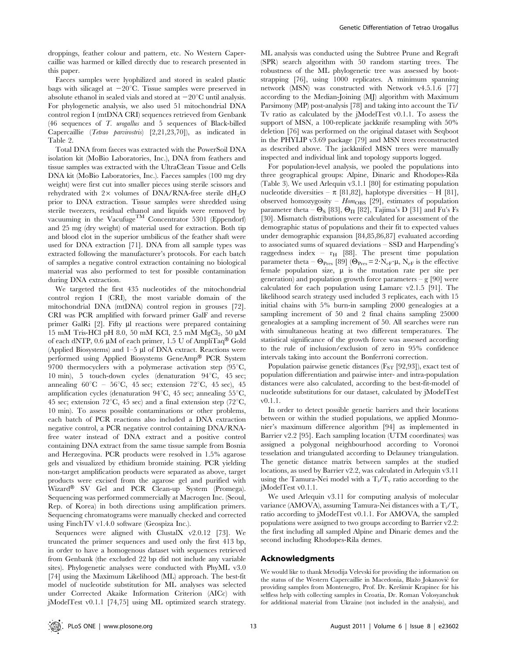droppings, feather colour and pattern, etc. No Western Capercaillie was harmed or killed directly due to research presented in this paper.

Faeces samples were lyophilized and stored in sealed plastic bags with silicagel at  $-20^{\circ}$ C. Tissue samples were preserved in absolute ethanol in sealed vials and stored at  $-20^{\circ}$ C until analysis. For phylogenetic analysis, we also used 51 mitochondrial DNA control region I (mtDNA CRI) sequences retrieved from Genbank (46 sequences of T. urogallus and 5 sequences of Black-billed Capercaillie (Tetrao parvirostris) [2,21,23,70]), as indicated in Table 2.

Total DNA from faeces was extracted with the PowerSoil DNA isolation kit (MoBio Laboratories, Inc.), DNA from feathers and tissue samples was extracted with the UltraClean Tissue and Cells DNA kit (MoBio Laboratories, Inc.). Faeces samples (100 mg dry weight) were first cut into smaller pieces using sterile scissors and rehydrated with  $2 \times$  volumes of DNA/RNA-free sterile dH<sub>2</sub>O prior to DNA extraction. Tissue samples were shredded using sterile tweezers, residual ethanol and liquids were removed by vacuuming in the Vacufuge<sup>TM</sup> Concentrator 5301 (Eppendorf) and 25 mg (dry weight) of material used for extraction. Both tip and blood clot in the superior umbilicus of the feather shaft were used for DNA extraction [71]. DNA from all sample types was extracted following the manufacturer's protocols. For each batch of samples a negative control extraction containing no biological material was also performed to test for possible contamination during DNA extraction.

We targeted the first 435 nucleotides of the mitochondrial control region I (CRI), the most variable domain of the mitochondrial DNA (mtDNA) control region in grouses [72]. CRI was PCR amplified with forward primer GalF and reverse primer GalRi [2]. Fifty µl reactions were prepared containing 15 mM Tris-HCl pH 8.0, 50 mM KCl, 2.5 mM MgCl<sub>2</sub>, 50 μM of each dNTP, 0.6  $\mu$ M of each primer, 1.5 U of AmpliTaq<sup>®</sup> Gold (Applied Biosystems) and  $1-5$  µl of DNA extract. Reactions were performed using Applied Biosystems GeneAmp® PCR System 9700 thermocyclers with a polymerase activation step  $(95^{\circ}C,$ 10 min), 5 touch-down cycles (denaturation  $94^{\circ}$ C, 45 sec; annealing  $60^{\circ}\text{C}$  –  $56^{\circ}\text{C}$ , 45 sec; extension  $72^{\circ}\text{C}$ , 45 sec), 45 amplification cycles (denaturation  $94^{\circ}$ C, 45 sec; annealing 55 $^{\circ}$ C, 45 sec; extension 72°C, 45 sec) and a final extension step (72°C, 10 min). To assess possible contaminations or other problems, each batch of PCR reactions also included a DNA extraction negative control, a PCR negative control containing DNA/RNAfree water instead of DNA extract and a positive control containing DNA extract from the same tissue sample from Bosnia and Herzegovina. PCR products were resolved in 1.5% agarose gels and visualized by ethidium bromide staining. PCR yielding non-target amplification products were separated as above, target products were excised from the agarose gel and purified with Wizard<sup>®</sup> SV Gel and PCR Clean-up System (Promega). Sequencing was performed commercially at Macrogen Inc. (Seoul, Rep. of Korea) in both directions using amplification primers. Sequencing chromatograms were manually checked and corrected using FinchTV v1.4.0 software (Geospiza Inc.).

Sequences were aligned with ClustalX v2.0.12 [73]. We truncated the primer sequences and used only the first 413 bp, in order to have a homogenous dataset with sequences retrieved from Genbank (the excluded 22 bp did not include any variable sites). Phylogenetic analyses were conducted with PhyML v3.0 [74] using the Maximum Likelihood (ML) approach. The best-fit model of nucleotide substitution for ML analyses was selected under Corrected Akaike Information Criterion (AICc) with jModelTest v0.1.1 [74,75] using ML optimized search strategy.

ML analysis was conducted using the Subtree Prune and Regraft (SPR) search algorithm with 50 random starting trees. The robustness of the ML phylogenetic tree was assessed by bootstrapping [76], using 1000 replicates. A minimum spanning network (MSN) was constructed with Network v4.5.1.6 [77] according to the Median-Joining (MJ) algorithm with Maximum Parsimony (MP) post-analysis [78] and taking into account the Ti/ Tv ratio as calculated by the jModelTest v0.1.1. To assess the support of MSN, a 100-replicate jackknife resampling with 50% deletion [76] was performed on the original dataset with Seqboot in the PHYLIP v3.69 package [79] and MSN trees reconstructed as described above. The jackknifed MSN trees were manually inspected and individual link and topology supports logged.

For population-level analysis, we pooled the populations into three geographical groups: Alpine, Dinaric and Rhodopes-Rila (Table 3). We used Arlequin v3.1.1 [80] for estimating population nucleotide diversities –  $\pi$  [81,82], haplotype diversities – H [81], observed homozygosity -  $Hom_{\rm OBS}$  [29], estimates of population parameter theta –  $\Theta_{\rm S}$  [83],  $\Theta_{\rm \Pi}$  [82], Tajima's D [31] and Fu's Fs [30]. Mismatch distributions were calculated for assessment of the demographic status of populations and their fit to expected values under demographic expansion [84,85,86,87] evaluated according to associated sums of squared deviations – SSD and Harpending's raggedness index –  $r_H$  [88]. The present time population parameter theta –  $\Theta_{\text{Pres}}$  [89] ( $\Theta_{\text{Pres}}$  = 2 $\cdot$ N<sub>eF</sub> $\cdot \mu$ , N<sub>eF</sub> is the effective female population size,  $\mu$  is the mutation rate per site per generation) and population growth force parameters – g [90] were calculated for each population using Lamarc v2.1.5 [91]. The likelihood search strategy used included 3 replicates, each with 15 initial chains with 5% burn-in sampling 2000 genealogies at a sampling increment of 50 and 2 final chains sampling 25000 genealogies at a sampling increment of 50. All searches were run with simultaneous heating at two different temperatures. The statistical significance of the growth force was assessed according to the rule of inclusion/exclusion of zero in 95% confidence intervals taking into account the Bonferroni correction.

Population pairwise genetic distances  $(F_{ST} [92, 93])$ , exact test of population differentiation and pairwise inter- and intra-population distances were also calculated, according to the best-fit-model of nucleotide substitutions for our dataset, calculated by jModelTest v0.1.1.

In order to detect possible genetic barriers and their locations between or within the studied populations, we applied Monmonier's maximum difference algorithm [94] as implemented in Barrier v2.2 [95]. Each sampling location (UTM coordinates) was assigned a polygonal neighbourhood according to Voronoi tesselation and triangulated according to Delauney triangulation. The genetic distance matrix between samples at the studied locations, as used by Barrier v2.2, was calculated in Arlequin v3.11 using the Tamura-Nei model with a  $T_i/T_v$  ratio according to the jModelTest v0.1.1.

We used Arlequin v3.11 for computing analysis of molecular variance (AMOVA), assuming Tamura-Nei distances with a  $T_i/T_v$ ratio according to jModelTest v0.1.1. For AMOVA, the sampled populations were assigned to two groups according to Barrier v2.2: the first including all sampled Alpine and Dinaric demes and the second including Rhodopes-Rila demes.

## Acknowledgments

We would like to thank Metodija Velevski for providing the information on the status of the Western Capercaillie in Macedonia, Blažo Jokanović for providing samples from Montenegro, Prof. Dr. Krešimir Krapinec for his selfless help with collecting samples in Croatia, Dr. Roman Volosyanchuk for additional material from Ukraine (not included in the analysis), and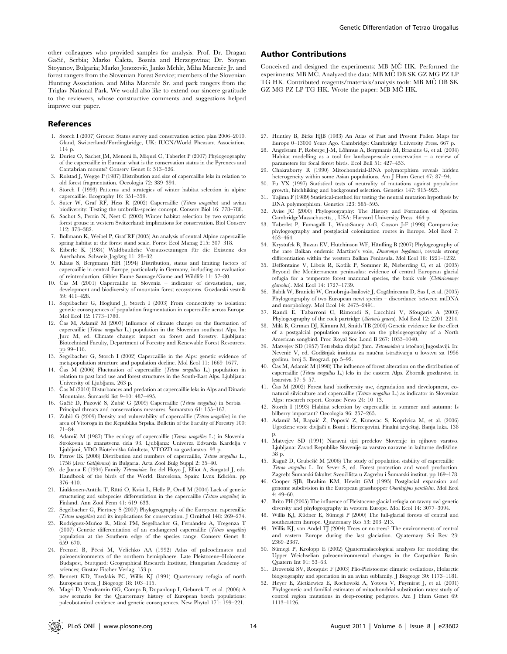other colleagues who provided samples for analysis: Prof. Dr. Dragan Gačić, Serbia; Marko Čaleta, Bosnia and Herzegovina; Dr. Stoyan Stoyanov, Bulgaria; Marko Jonozovič, Janko Mehle, Miha Marenče Jr. and forest rangers from the Slovenian Forest Service; members of the Slovenian Hunting Association, and Miha Marence Sr. and park rangers from the Triglav National Park. We would also like to extend our sincere gratitude to the reviewers, whose constructive comments and suggestions helped improve our paper.

#### References

- 1. Storch I (2007) Grouse: Status survey and conservation action plan 2006–2010. Gland, Switzerland/Fordingbridge, UK: IUCN/World Pheasant Association. 114 p.
- 2. Duriez O, Sachet JM, Menoni E, Miquel C, Taberlet P (2007) Phylogeography of the capercaillie in Eurasia: what is the conservation status in the Pyrenees and Cantabrian mounts? Conserv Genet 8: 513–526.
- 3. Rolstad J, Wegge P (1987) Distribution and size of capercaillie leks in relation to old forest fragmentation. Oecologia 72: 389–394.
- 4. Storch I (1993) Patterns and strategies of winter habitat selection in alpine capercaillie. Ecography 16: 351–359.
- 5. Suter W, Graf RF, Hess R (2002) Capercaillie (Tetrao urogallus) and avian biodiversity: Testing the umbrella-species concept. Conserv Biol 16: 778–788.
- 6. Sachot S, Perrin N, Neet C (2003) Winter habitat selection by two sympatric forest grouse in western Switzerland: implications for conservation. Biol Conserv 112: 373–382.
- 7. Bollmann K, Weibel P, Graf RF (2005) An analysis of central Alpine capercaillie spring habitat at the forest stand scale. Forest Ecol Manag 215: 307–318.
- 8. Eiberle K (1984) Waldbauliche Voraussetzungen für die Existenz des Auerhahns. Schweiz Jagdztg 11: 28–32.
- 9. Klaus S, Bergmann HH (1994) Distribution, status and limiting factors of capercaillie in central Europe, particularly in Germany, including an evaluation of reintroduction. Gibier Faune Sauvage/Game and Wildlife 11: 57–80.
- 10. Čas M (2001) Capercaillie in Slovenia indicator of devastation, use, development and biodiversity of mountain forest ecosystems. Gozdarski vestnik 59: 411–428.
- 11. Segelbacher G, Hoglund J, Storch I (2003) From connectivity to isolation: genetic consequences of population fragmentation in capercaillie across Europe. Mol Ecol 12: 1773–1780.
- 12. Čas M, Adamič M  $(2007)$  Influence of climate change on the fluctuation of capercaillie (Tetrao urogallus L.) population in the Slovenian southeast Alps. In: Jurc M, ed. Climate change: impact on forest and forestry. Ljubljana: Biotechnical Faculty, Department of Forestry and Renewable Forest Resources. pp 99–116.
- 13. Segelbacher G, Storch I (2002) Capercaillie in the Alps: genetic evidence of metapopulation structure and population decline. Mol Ecol 11: 1669–1677.
- 14. Čas M (2006) Fluctuation of capercaillie (Tetrao urogallus L.) population in relation to past land use and forest structures in the South-East Alps. Ljubljana: University of Ljubljana. 263 p.
- 15. Čas M (2010) Disturbances and predation at capercaillie leks in Alps and Dinaric Mountains. Šumarski list 9-10: 487-495.
- 16. Gačić D, Puzović S, Zubić G (2009) Capercaillie (Tetrao urogallus) in Serbia -Principal threats and conservations measures. Šumarstvo 61: 155-167.
- 17. Zubić G (2009) Density and vulnerability of capercaillie (Tetrao urogallus) in the area of Vitoroga in the Republika Srpska. Bulletin of the Faculty of Forestry 100: 71–84.
- 18. Adamič M (1987) The ecology of capercaillie (Tetrao urogallus L.) in Slovenia. Strokovna in znanstvena dela 93. Ljubljana: Univerza Edvarda Kardelja v Ljubljani, VDO Biotehniška fakulteta, VTOZD za gozdarstvo. 93 p.
- 19. Petrov IK (2008) Distribution and numbers of capercaillie, Tetrao urogallus L., 1758 (Aves: Galliformes) in Bulgaria. Acta Zool Bulg Suppl 2: 35–40.
- 20. de Juana E (1994) Family Tetraonidae. In: del Hoyo J, Elliot A, Sargatal J, eds. Handbook of the birds of the World. Barcelona, Spain: Lynx Edición. pp 376–410.
- 21. Liukkonen-Anttila T, Rätti O, Kvist L, Helle P, Orell M (2004) Lack of genetic structuring and subspecies differentiation in the capercaillie (Tetrao urogallus) in Finland. Ann Zool Fenn 41: 619–633.
- 22. Segelbacher G, Piertney S (2007) Phylogeography of the European capercaillie (Tetrao urogallus) and its implications for conservation. J Ornithol 148: 269–274.
- 23. Rodríguez-Muñoz R, Mirol PM, Segelbacher G, Fernández A, Tregenza T (2007) Genetic differentiation of an endangered capercaillie (Tetrao urogallus) population at the Southern edge of the species range. Conserv Genet 8: 659–670.
- 24. Frenzel B, Pe´csi M, Velichko AA (1992) Atlas of paleoclimates and paleoenvironments of the northern hemisphaere. Late Pleistocene–Holocene. Budapest, Stuttgard: Geographical Research Institute, Hungarian Academy of sciences; Gustav Fischer Verlag. 153 p.
- 25. Bennett KD, Tzedakis PC, Willis KJ (1991) Quarternary refugia of north European trees. J Biogeogr 18: 103–115.
- 26. Magri D, Vendramin GG, Comps B, Dupanloup I, Geburek T, et al. (2006) A new scenario for the Quarternary history of European beech populations: paleobotanical evidence and genetic consequences. New Phytol 171: 199–221.

# Author Contributions

Conceived and designed the experiments: MB MCˇ HK. Performed the experiments: MB MC<sup> $\dot{C}$ </sup>. Analyzed the data: MB MC<sup> $\dot{C}$ </sup> DB SK GZ MG PZ LP TG HK. Contributed reagents/materials/analysis tools: MB MC DB SK GZ MG PZ LP TG HK. Wrote the paper: MB MČ HK.

- 27. Huntley B, Birks HJB (1983) An Atlas of Past and Present Pollen Maps for Europe 0–13000 Years Ago. Cambridge: Cambridge University Press. 667 p.
- 28. Angelstam P, Roberge J-M, Lõhmus A, Bergmanis M, Brazaitis G, et al. (2004) Habitat modelling as a tool for landscape-scale conservation – a review of parameters for focal forest birds. Ecol Bull 51: 427–453.
- 29. Chakraborty R (1990) Mitochondrial-DNA polymorphism reveals hidden heterogeneity within some Asian populations. Am J Hum Genet 47: 87-94.
- 30. Fu YX (1997) Statistical tests of neutrality of mutations against population growth, hitchhiking and background selection. Genetics 147: 915–925.
- 31. Tajima F (1989) Statistical-method for testing the neutral mutation hypothesis by DNA polymorphism. Genetics 123: 585–595.
- 32. Avise JC (2000) Phylogeography: The History and Formation of Species. CambridgeMassachusetts, , USA: Harvard University Press. 464 p.
- 33. Taberlet P, Fumagalli L, Wust-Saucy A-G, Cosson J-F (1998) Comparative phylogeography and postglacial colonization routes in Europe. Mol Ecol 7:  $453 - 464$
- 34. Krystufek B, Buzan EV, Hutchinson WF, Hänfling B (2007) Phylogeography of the rare Balkan endemic Martino's vole, Dinaromys bogdanovi, reveals strong differentiation within the western Balkan Peninsula. Mol Ecol 16: 1221–1232.
- 35. Deffontaine V, Libois R, Kotlı´k P, Sommer R, Nieberding C, et al. (2005) Beyond the Mediterranean peninsulas: evidence of central European glacial refugia for a temperate forest mammal species, the bank vole (Clethrionomys glareolus). Mol Ecol 14: 1727–1739.
- 36. Babik W, Branicki W, Crnobrnja-Isailović J, Cogălniceanu D, Sas I, et al. (2005) Phylogeography of two European newt species – discordance between mtDNA and morphology. Mol Ecol 14: 2475–2491.
- 37. Randi E, Tabarroni C, Rimondi S, Lucchini V, Sfougaris A (2003) Phylogeography of the rock partridge (Alectoris graeca). Mol Ecol 12: 2201-2214.
- 38. Mila´ B, Girman DJ, Kimura M, Smith TB (2000) Genetic evidence for the effect of a postgalcial population expansion on the phylogeography of a North American songbird. Proc Royal Soc Lond B 267: 1033–1040.
- 39. Matvejev SD (1957) Tetrebska divljač (fam. Tetraonidae) u istočnoj Jugoslaviji. In: Nevenić V, ed. Godišnjak instituta za naučna istraživanja u lovstvu za 1956 godinu, broj 3. Beograd. pp 5–92.
- 40. Čas M, Adamič M (1998) The influence of forest alteration on the distribution of capercaillie (Tetrao urogallus L.) leks in the eastern Alps. Zbornik gozdarstva in lesarstva 57: 5–57.
- 41. Čas M (2002) Forest land biodiversity use, degradation and development, conatural silviculture and capercaillie (Tetrao urogallus L.) as indicator in Slovenian Alps: research report. Grouse News 24: 10–13.
- 42. Storch I (1993) Habitat selection by capercaillie in summer and autumn: Is bilberry important? Oecologia 96: 257–265.
- 43. Adamič M, Rapaić Ž, Popović Z, Kunovac S, Koprivica M, et al. (2006) Ugrožene vrste divljači u Bosni i Hercegovini. Finalni izvještaj. Banja luka. 138 p.
- 44. Matvejev SD (1991) Naravni tipi predelov Slovenije in njihovo varstvo. Ljubljana: Zavod Republike Slovenije za varstvo naravne in kulturne dediščine. 58 p.
- 45. Raguž D, Grubešić M (2006) The study of population stability of capercaillie Tetrao urogallus L. In: Sever S, ed. Forest protection and wood production. Zagreb: Šumarski fakultet Sveučilišta u Zagrebu i Šumarski institut. pp 169–178.
- 46. Cooper SJB, Ibrahim KM, Hewitt GM (1995) Postglacial expansion and genome subdivision in the European grasshopper Chorthippus parallelus. Mol Ecol 4: 49–60.
- 47. Brito PH (2005) The influence of Pleistocene glacial refugia on tawny owl genetic diversity and phylogeography in western Europe. Mol Ecol 14: 3077–3094.
- 48. Willis KJ, Rüdner E, Sümegi P (2000) The full-glacial forests of central and southeastern Europe. Quaternary Res 53: 203–213.
- 49. Willis KJ, van Andel TJ (2004) Trees or no trees? The environments of central and eastern Europe during the last glaciation. Quaternary Sci Rev 23: 2369–2387.
- 50. Sümegi P, Krolopp E (2002) Quatermalacological analyses for modeling the Upper Weichselian paleoenvironmental changes in the Carpathian Basin. Quatern Int 91: 53–63.
- 51. Drovetski SV, Ronquist F (2003) Plio-Pleistocene climatic oscilations, Holarctic biogeography and speciation in an avian subfamily. J Biogeogr 30: 1173–1181.
- 52. Heyer E, Zietkiewicz E, Rochowski A, Yotova V, Puymirat J, et al. (2001) Phylogenetic and familial estimates of mitochondrial substitution rates: study of control region mutations in deep-rooting pedigrees. Am J Hum Genet 69: 1113–1126.